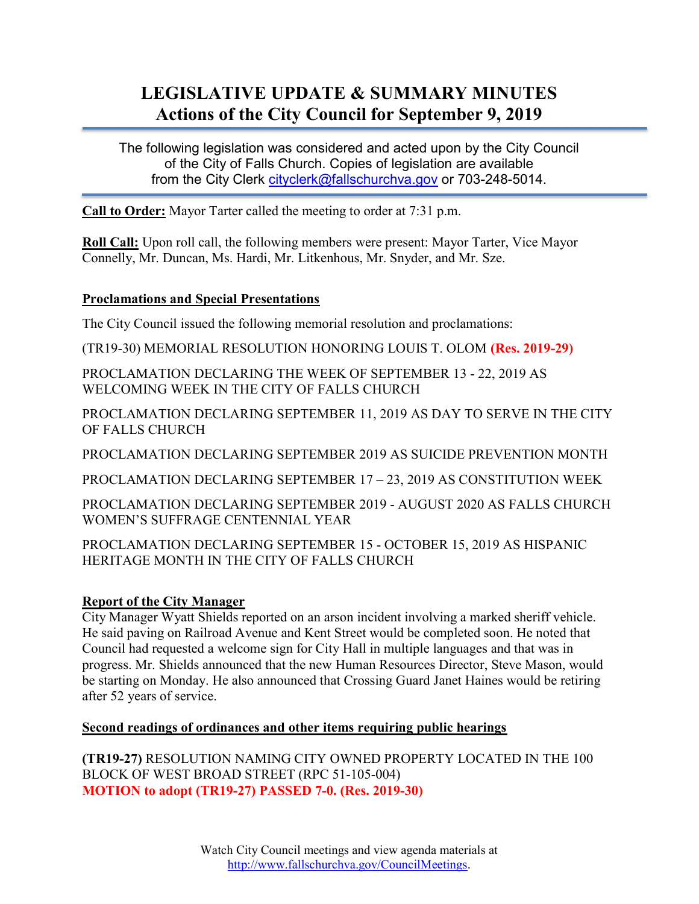# LEGISLATIVE UPDATE & SUMMARY MINUTES Actions of the City Council for September 9, 2019

The following legislation was considered and acted upon by the City Council of the City of Falls Church. Copies of legislation are available from the City Clerk cityclerk@fallschurchva.gov or 703-248-5014.

**Call to Order:** Mayor Tarter called the meeting to order at 7:31 p.m.

Roll Call: Upon roll call, the following members were present: Mayor Tarter, Vice Mayor Connelly, Mr. Duncan, Ms. Hardi, Mr. Litkenhous, Mr. Snyder, and Mr. Sze.

## Proclamations and Special Presentations

The City Council issued the following memorial resolution and proclamations:

(TR19-30) MEMORIAL RESOLUTION HONORING LOUIS T. OLOM (Res. 2019-29)

PROCLAMATION DECLARING THE WEEK OF SEPTEMBER 13 - 22, 2019 AS WELCOMING WEEK IN THE CITY OF FALLS CHURCH

PROCLAMATION DECLARING SEPTEMBER 11, 2019 AS DAY TO SERVE IN THE CITY OF FALLS CHURCH

PROCLAMATION DECLARING SEPTEMBER 2019 AS SUICIDE PREVENTION MONTH

PROCLAMATION DECLARING SEPTEMBER 17 – 23, 2019 AS CONSTITUTION WEEK

PROCLAMATION DECLARING SEPTEMBER 2019 - AUGUST 2020 AS FALLS CHURCH WOMEN'S SUFFRAGE CENTENNIAL YEAR

PROCLAMATION DECLARING SEPTEMBER 15 - OCTOBER 15, 2019 AS HISPANIC HERITAGE MONTH IN THE CITY OF FALLS CHURCH

## Report of the City Manager

City Manager Wyatt Shields reported on an arson incident involving a marked sheriff vehicle. He said paving on Railroad Avenue and Kent Street would be completed soon. He noted that Council had requested a welcome sign for City Hall in multiple languages and that was in progress. Mr. Shields announced that the new Human Resources Director, Steve Mason, would be starting on Monday. He also announced that Crossing Guard Janet Haines would be retiring after 52 years of service.

## Second readings of ordinances and other items requiring public hearings

(TR19-27) RESOLUTION NAMING CITY OWNED PROPERTY LOCATED IN THE 100 BLOCK OF WEST BROAD STREET (RPC 51-105-004) MOTION to adopt (TR19-27) PASSED 7-0. (Res. 2019-30)